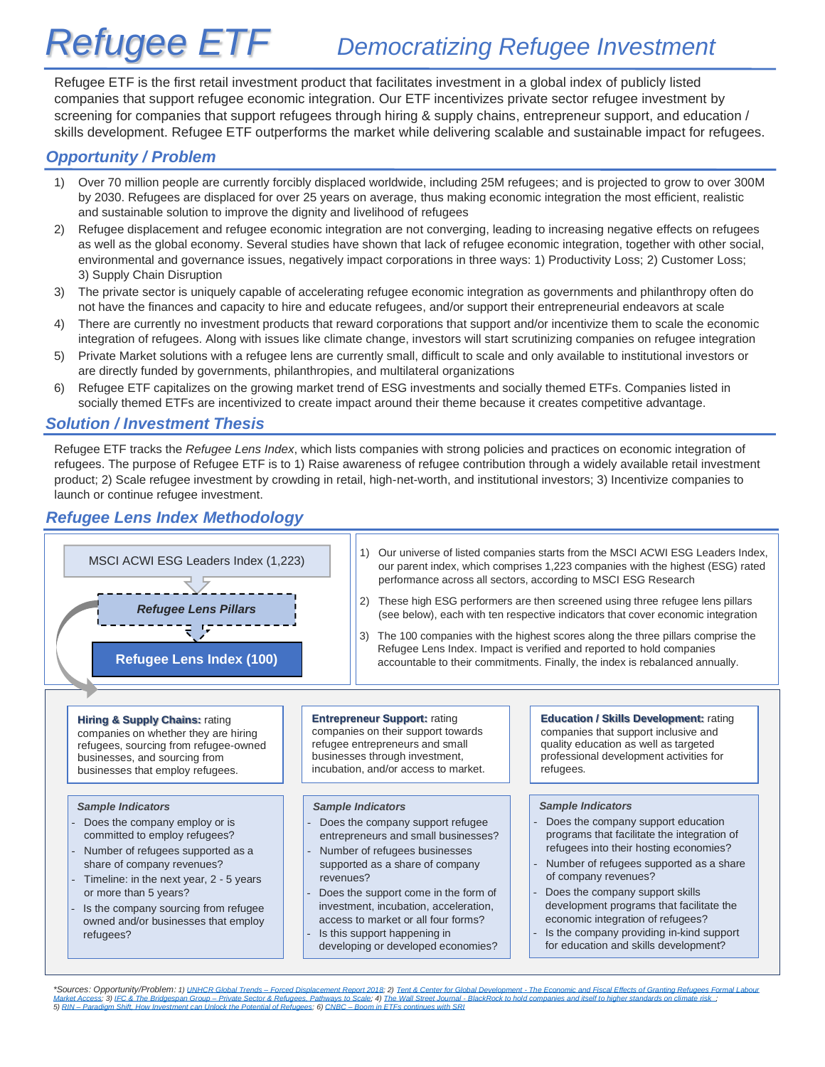# **Refugee ETF** *Democratizing Refugee Investment*

Refugee ETF is the first retail investment product that facilitates investment in a global index of publicly listed companies that support refugee economic integration. Our ETF incentivizes private sector refugee investment by screening for companies that support refugees through hiring & supply chains, entrepreneur support, and education / skills development. Refugee ETF outperforms the market while delivering scalable and sustainable impact for refugees.

# *Opportunity / Problem*

- 1) Over 70 million people are currently forcibly displaced worldwide, including 25M refugees; and is projected to grow to over 300M by 2030. Refugees are displaced for over 25 years on average, thus making economic integration the most efficient, realistic and sustainable solution to improve the dignity and livelihood of refugees
- 2) Refugee displacement and refugee economic integration are not converging, leading to increasing negative effects on refugees as well as the global economy. Several studies have shown that lack of refugee economic integration, together with other social, environmental and governance issues, negatively impact corporations in three ways: 1) Productivity Loss; 2) Customer Loss; 3) Supply Chain Disruption
- 3) The private sector is uniquely capable of accelerating refugee economic integration as governments and philanthropy often do not have the finances and capacity to hire and educate refugees, and/or support their entrepreneurial endeavors at scale
- 4) There are currently no investment products that reward corporations that support and/or incentivize them to scale the economic integration of refugees. Along with issues like climate change, investors will start scrutinizing companies on refugee integration
- 5) Private Market solutions with a refugee lens are currently small, difficult to scale and only available to institutional investors or are directly funded by governments, philanthropies, and multilateral organizations
- 6) Refugee ETF capitalizes on the growing market trend of ESG investments and socially themed ETFs. Companies listed in socially themed ETFs are incentivized to create impact around their theme because it creates competitive advantage.

## *Solution / Investment Thesis*

Refugee ETF tracks the *Refugee Lens Index*, which lists companies with strong policies and practices on economic integration of refugees. The purpose of Refugee ETF is to 1) Raise awareness of refugee contribution through a widely available retail investment product; 2) Scale refugee investment by crowding in retail, high-net-worth, and institutional investors; 3) Incentivize companies to launch or continue refugee investment.

# *Refugee Lens Index Methodology*



\*Sources: Opportunity/Problem: 1) UNHCR Global Trends - [Forced Displacement Report 2018;](https://www.unhcr.org/5d08d7ee7.pdf) 2) Tent & Center for Global Development - The Economic and Fiscal Effects of Granting Refugees Formal Labour [Market Access;](https://www.tent.org/wp-content/uploads/2018/10/TENT_LMA_Policy-Brief.pdf) 3) IFC & The Bridgespan Group—[Private Sector & Refugees, Pathways to Scale;](https://www.ifc.org/wps/wcm/connect/1c187356-8185-4efe-898c-b78962d30f35/201905-Private-Sector-and-Refugees.pdf?MOD=AJPERES) 4) The Wall Street Journal - BlackRock to hold companies and itself to higher standards on climate risk. ;<br>5) RIN—Paradigm Shift, H